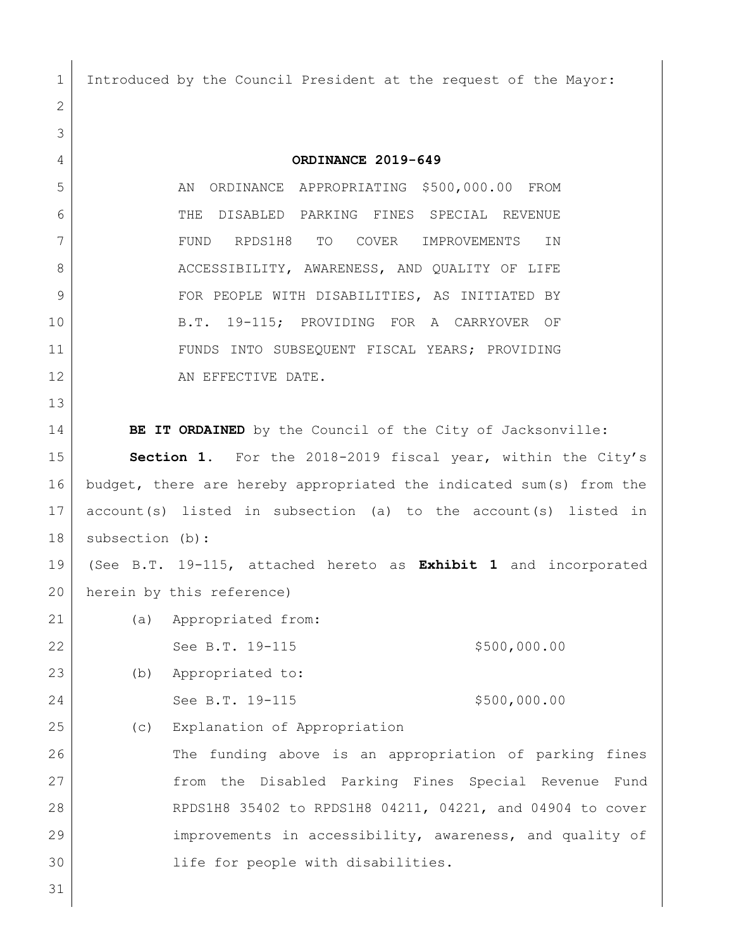Introduced by the Council President at the request of the Mayor: **ORDINANCE 2019-649** 5 AN ORDINANCE APPROPRIATING \$500,000.00 FROM THE DISABLED PARKING FINES SPECIAL REVENUE FUND RPDS1H8 TO COVER IMPROVEMENTS IN 8 ACCESSIBILITY, AWARENESS, AND QUALITY OF LIFE 9 | FOR PEOPLE WITH DISABILITIES, AS INITIATED BY B.T. 19-115; PROVIDING FOR A CARRYOVER OF FUNDS INTO SUBSEQUENT FISCAL YEARS; PROVIDING 12 AN EFFECTIVE DATE. **BE IT ORDAINED** by the Council of the City of Jacksonville: **Section 1.** For the 2018-2019 fiscal year, within the City's budget, there are hereby appropriated the indicated sum(s) from the account(s) listed in subsection (a) to the account(s) listed in subsection (b): (See B.T. 19-115, attached hereto as **Exhibit 1** and incorporated herein by this reference) (a) Appropriated from: 22 See B.T. 19-115 \$500,000.00 (b) Appropriated to: 24 See B.T. 19-115 \$500,000.00 (c) Explanation of Appropriation 26 The funding above is an appropriation of parking fines from the Disabled Parking Fines Special Revenue Fund RPDS1H8 35402 to RPDS1H8 04211, 04221, and 04904 to cover improvements in accessibility, awareness, and quality of life for people with disabilities.